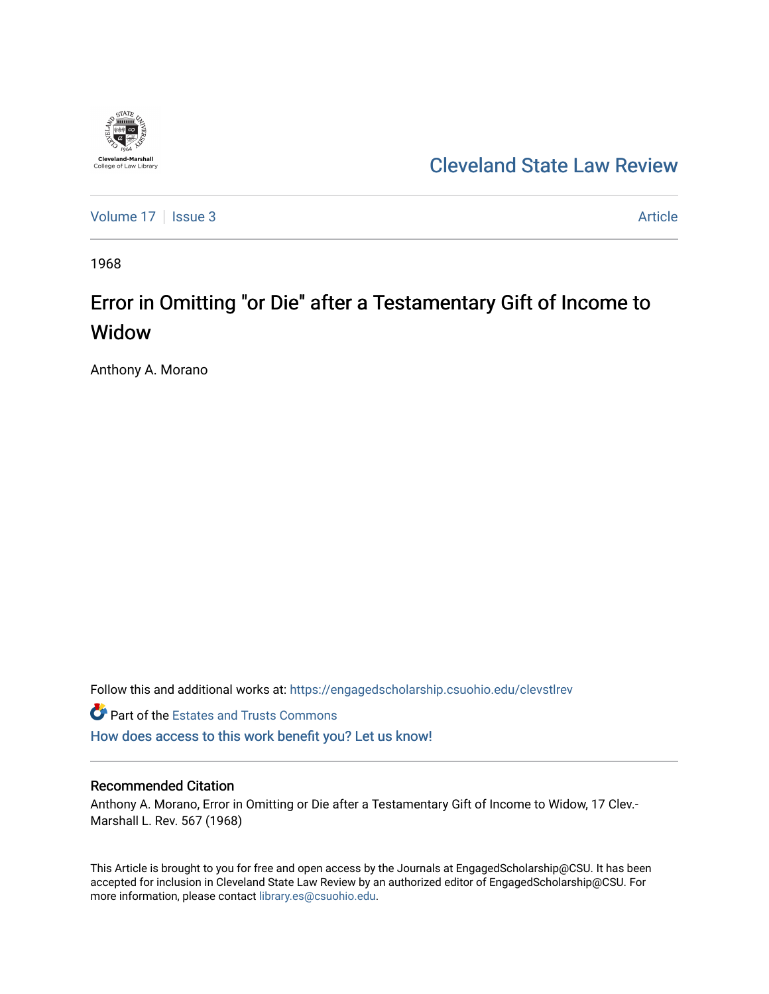

[Cleveland State Law Review](https://engagedscholarship.csuohio.edu/clevstlrev) 

[Volume 17](https://engagedscholarship.csuohio.edu/clevstlrev/vol17) | [Issue 3](https://engagedscholarship.csuohio.edu/clevstlrev/vol17/iss3) Article

1968

# Error in Omitting "or Die" after a Testamentary Gift of Income to Widow

Anthony A. Morano

Follow this and additional works at: [https://engagedscholarship.csuohio.edu/clevstlrev](https://engagedscholarship.csuohio.edu/clevstlrev?utm_source=engagedscholarship.csuohio.edu%2Fclevstlrev%2Fvol17%2Fiss3%2F17&utm_medium=PDF&utm_campaign=PDFCoverPages)

**Part of the Estates and Trusts Commons** [How does access to this work benefit you? Let us know!](http://library.csuohio.edu/engaged/)

# Recommended Citation

Anthony A. Morano, Error in Omitting or Die after a Testamentary Gift of Income to Widow, 17 Clev.- Marshall L. Rev. 567 (1968)

This Article is brought to you for free and open access by the Journals at EngagedScholarship@CSU. It has been accepted for inclusion in Cleveland State Law Review by an authorized editor of EngagedScholarship@CSU. For more information, please contact [library.es@csuohio.edu](mailto:library.es@csuohio.edu).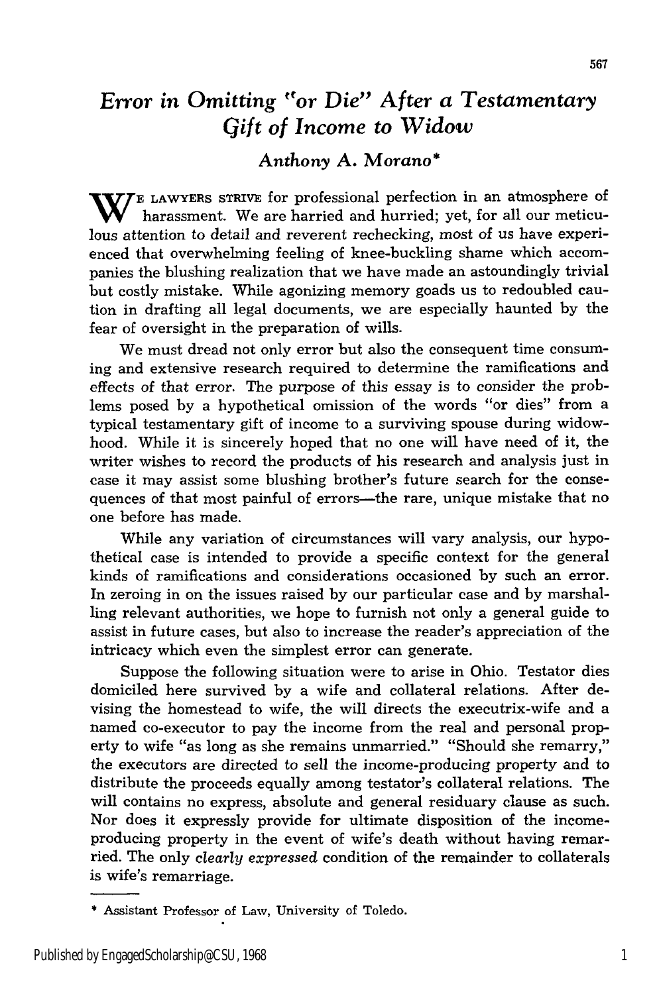# *Error in Omitting 'or Die" After a Testamentary Gift of Income to Widow*

# *Anthony* **A. Morano\***

**W** E LAWYERS STRIVE for professional perfection in an atmosphere of harassment. We are harried and hurried; yet, for all our meticulous attention to detail and reverent rechecking, most of us have experienced that overwhelming feeling of knee-buckling shame which accompanies the blushing realization that we have made an astoundingly trivial but costly mistake. While agonizing memory goads us to redoubled caution in drafting all legal documents, we are especially haunted by the fear of oversight in the preparation of wills.

We must dread not only error but also the consequent time consuming and extensive research required to determine the ramifications and effects of that error. The purpose of this essay is to consider the problems posed by a hypothetical omission of the words "or dies" from a typical testamentary gift of income to a surviving spouse during widowhood. While it is sincerely hoped that no one will have need of it, the writer wishes to record the products of his research and analysis just in case it may assist some blushing brother's future search for the consequences of that most painful of errors—the rare, unique mistake that no one before has made.

While any variation of circumstances will vary analysis, our hypothetical case is intended to provide a specific context for the general kinds of ramifications and considerations occasioned by such an error. In zeroing in on the issues raised by our particular case and by marshalling relevant authorities, we hope to furnish not only a general guide to assist in future cases, but also to increase the reader's appreciation of the intricacy which even the simplest error can generate.

Suppose the following situation were to arise in Ohio. Testator dies domiciled here survived by a wife and collateral relations. After devising the homestead to wife, the will directs the executrix-wife and a named co-executor to pay the income from the real and personal property to wife "as long as she remains unmarried." "Should she remarry," the executors are directed to sell the income-producing property and to distribute the proceeds equally among testator's collateral relations. The will contains no express, absolute and general residuary clause as such. Nor does it expressly provide for ultimate disposition of the incomeproducing property in the event of wife's death without having remarried. The only *clearly expressed* condition of the remainder to collaterals is wife's remarriage.

<sup>\*</sup>Assistant Professor of Law, University of Toledo.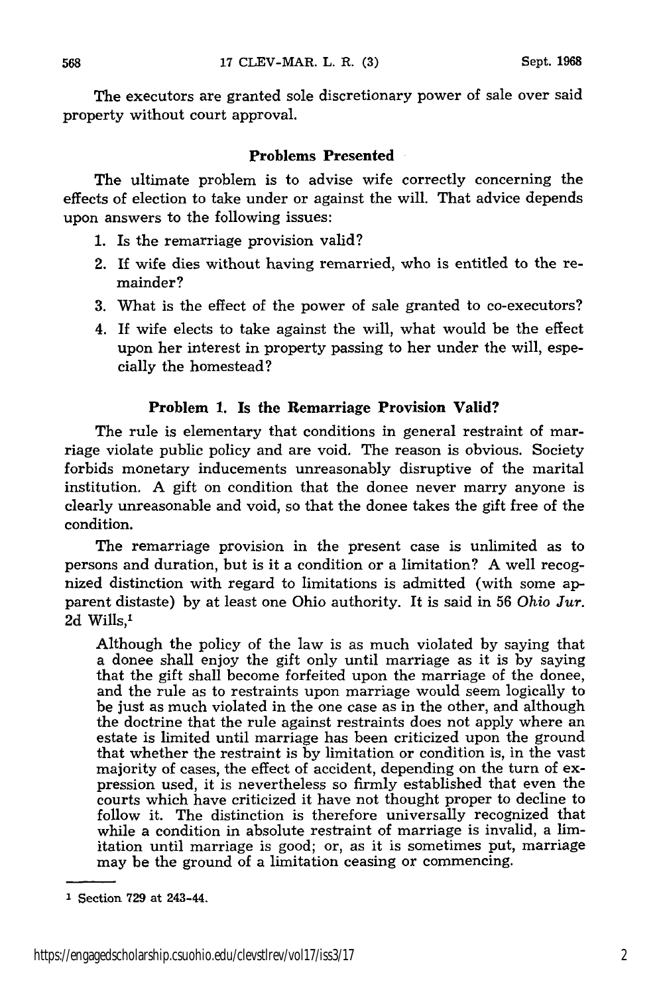The executors are granted sole discretionary power of sale over said property without court approval.

#### **Problems Presented**

The ultimate problem is to advise wife correctly concerning the effects of election to take under or against the will. That advice depends upon answers to the following issues:

- 1. Is the remarriage provision valid?
- 2. If wife dies without having remarried, who is entitled to the remainder?
- 3. What is the effect of the power of sale granted to co-executors?
- 4. If wife elects to take against the will, what would be the effect upon her interest in property passing to her under the will, especially the homestead?

#### Problem **1.** Is the Remarriage Provision Valid?

The rule is elementary that conditions in general restraint of marriage violate public policy and are void. The reason is obvious. Society forbids monetary inducements unreasonably disruptive of the marital institution. A gift on condition that the donee never marry anyone is clearly unreasonable and void, so that the donee takes the gift free of the condition.

The remarriage provision in the present case is unlimited as to persons and duration, but is it a condition or a limitation? A well recognized distinction with regard to limitations is admitted (with some apparent distaste) by at least one Ohio authority. It is said in 56 *Ohio Jur.* 2d Wills,'

Although the policy of the law is as much violated by saying that a donee shall enjoy the gift only until marriage as it is by saying that the gift shall become forfeited upon the marriage of the donee, and the rule as to restraints upon marriage would seem logically to be just as much violated in the one case as in the other, and although the doctrine that the rule against restraints does not apply where an estate is limited until marriage has been criticized upon the ground that whether the restraint is by limitation or condition is, in the vast majority of cases, the effect of accident, depending on the turn of expression used, it is nevertheless so firmly established that even the courts which have criticized it have not thought proper to decline to follow it. The distinction is therefore universally recognized that while a condition in absolute restraint of marriage is invalid, a limitation until marriage is good; or, as it is sometimes put, marriage may be the ground of a limitation ceasing or commencing.

**I** Section **729** at 243-44.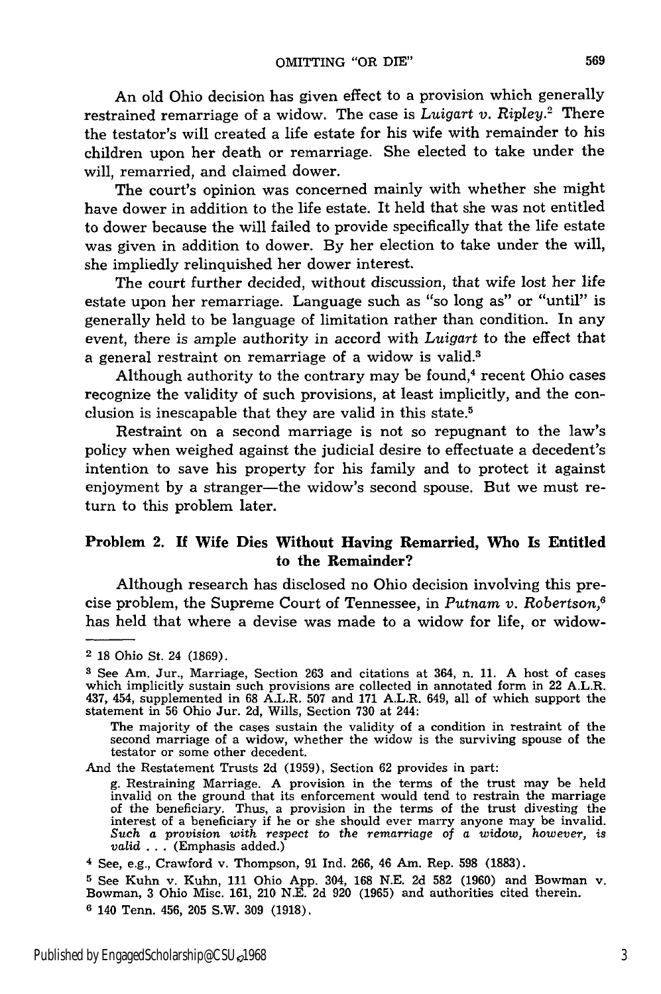An old Ohio decision has given effect to a provision which generally restrained remarriage of a widow. The case is *Luigart v. Ripley.2* There the testator's will created a life estate for his wife with remainder to his children upon her death or remarriage. She elected to take under the will, remarried, and claimed dower.

The court's opinion was concerned mainly with whether she might have dower in addition to the life estate. It held that she was not entitled to dower because the will failed to provide specifically that the life estate was given in addition to dower. By her election to take under the will, she impliedly relinquished her dower interest.

The court further decided, without discussion, that wife lost her life estate upon her remarriage. Language such as "so long as" or "until" is generally held to be language of limitation rather than condition. In any event, there is ample authority in accord with *Luigart* to the effect that a general restraint on remarriage of a widow is valid.3

Although authority to the contrary may be found, $4$  recent Ohio cases recognize the validity of such provisions, at least implicitly, and the conclusion is inescapable that they are valid in this state.5

Restraint on a second marriage is not so repugnant to the law's policy when weighed against the judicial desire to effectuate a decedent's intention to save his property for his family and to protect it against enjoyment by a stranger—the widow's second spouse. But we must return to this problem later.

#### Problem 2. **If Wife Dies Without Having** Remarried, **Who Is Entitled** to the Remainder?

Although research has disclosed no Ohio decision involving this precise problem, the Supreme Court of Tennessee, in *Putnam v. Robertson,"* has held that where a devise was made to a widow for life, or widow-

The majority of the cases sustain the validity of a condition in restraint of the second marriage of a widow, whether the widow is the surviving spouse of the testator or some other decedent.

And the Restatement Trusts 2d (1959), Section 62 provides in part:

g. Restraining Marriage. A provision in the terms of the trust may be held invalid on the ground that its enforcement would tend to restrain the marriage of the beneficiary. Thus, a provision in the terms of the trust divesting the interest of a beneficiary if he or she should ever marry anyone may be invalid Such a provision with respect to the remarriage of a widow, howe *valid* ... (Emphasis added.)

**<sup>5</sup>**See Kuhn v. Kuhn, 111 Ohio App. 304, 168 N.E. 2d 582 (1960) and Bowman v. Bowman, 3 Ohio Misc. 161, 210 N.E. 2d 920 (1965) and authorities cited therein. **<sup>6</sup>**140 Tenn. 456, 205 S.W. 309 (1918).

<sup>2</sup> 18 Ohio St. 24 (1869).

**<sup>3</sup>**See Am. Jur., Marriage, Section 263 and citations at 364, n. 11. A host of cases which implicitly sustain such provisions are collected in annotated form in 22 A.L.R. 437, 454, supplemented in 68 A.L.R. 507 and 171 A.L.R. 649, all of which support the statement in 56 Ohio Jur. 2d, Wills, Section 730 at 244:

<sup>4</sup> See, e.g., Crawford v. Thompson, 91 Ind. 266, 46 Am. Rep. 598 (1883).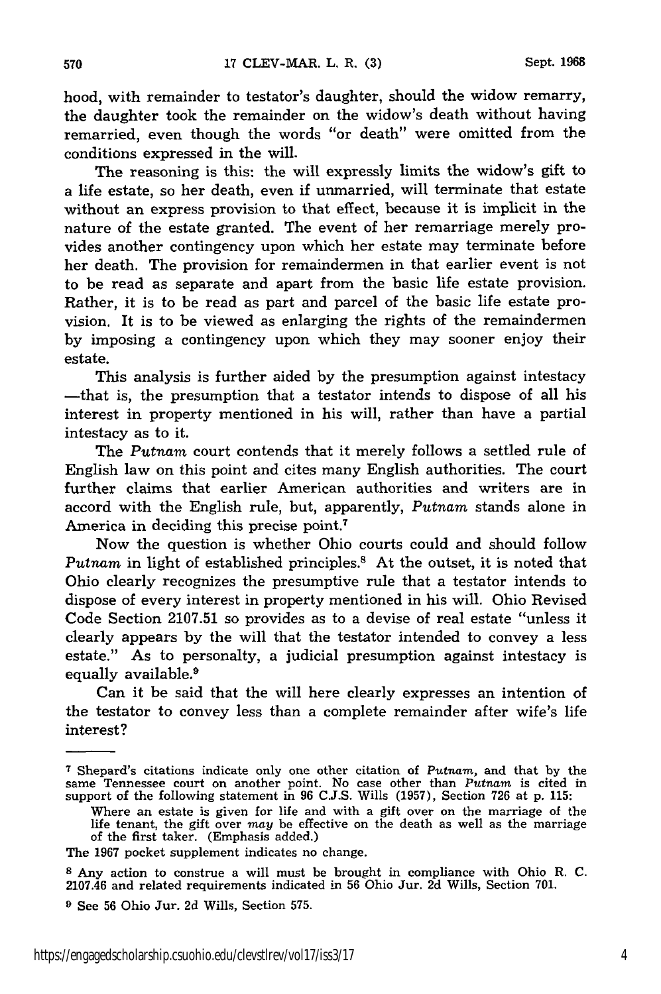hood, with remainder to testator's daughter, should the widow remarry, the daughter took the remainder on the widow's death without having remarried, even though the words "or death" were omitted from the conditions expressed in the will.

The reasoning is this: the will expressly limits the widow's gift to a life estate, so her death, even if unmarried, will terminate that estate without an express provision to that effect, because it is implicit in the nature of the estate granted. The event of her remarriage merely provides another contingency upon which her estate may terminate before her death. The provision for remaindermen in that earlier event is not to be read as separate and apart from the basic life estate provision. Rather, it is to be read as part and parcel of the basic life estate provision. It is to be viewed as enlarging the rights of the remaindermen by imposing a contingency upon which they may sooner enjoy their estate.

This analysis is further aided by the presumption against intestacy -that is, the presumption that a testator intends to dispose of all his interest in property mentioned in his will, rather than have a partial intestacy as to it.

The *Putnam* court contends that it merely follows a settled rule of English law on this point and cites many English authorities. The court further claims that earlier American authorities and writers are in accord with the English rule, but, apparently, *Putnam* stands alone in America in deciding this precise point.7

Now the question is whether Ohio courts could and should follow Putnam in light of established principles.<sup>8</sup> At the outset, it is noted that Ohio clearly recognizes the presumptive rule that a testator intends to dispose of every interest in property mentioned in his will. Ohio Revised Code Section 2107.51 so provides as to a devise of real estate "unless it clearly appears by the will that the testator intended to convey a less estate." As to personalty, a judicial presumption against intestacy is equally available.<sup>9</sup>

Can it be said that the will here clearly expresses an intention of the testator to convey less than a complete remainder after wife's life interest?

**<sup>7</sup>**Shepard's citations indicate only one other citation of *Putnam,* and that by the same Tennessee court on another point. No case other than *Putnam* is cited in support of the following statement in 96 C.J.S. Wills (1957), Section 726 at p. 115

Where an estate is given for life and with a gift over on the marriage of the life tenant, the gift over *may* be effective on the death as well as the marriage of the first taker. (Emphasis added.)

The 1967 pocket supplement indicates no change.

**<sup>8</sup>** Any action to construe a will must be brought in compliance with Ohio R. C. 2107.46 and related requirements indicated in 56 Ohio Jur. 2d Wills, Section 701.

**<sup>9</sup>** See 56 Ohio Jur. 2d Wills, Section 575.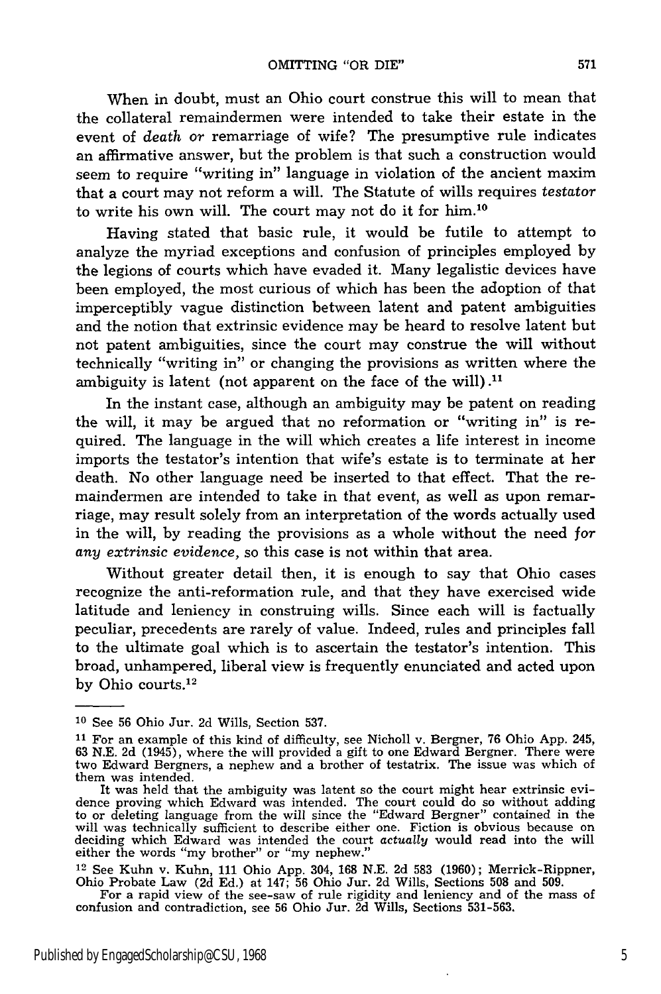When in doubt, must an Ohio court construe this will to mean that the collateral remaindermen were intended to take their estate in the event of *death* or remarriage of wife? The presumptive rule indicates an affirmative answer, but the problem is that such a construction would seem to require "writing in" language in violation of the ancient maxim that a court may not reform a will. The Statute of wills requires *testator* to write his own will. The court may not do it for him.10

Having stated that basic rule, it would be futile to attempt to analyze the myriad exceptions and confusion of principles employed by the legions of courts which have evaded it. Many legalistic devices have been employed, the most curious of which has been the adoption of that imperceptibly vague distinction between latent and patent ambiguities and the notion that extrinsic evidence may be heard to resolve latent but not patent ambiguities, since the court may construe the will without technically "writing in" or changing the provisions as written where the ambiguity is latent (not apparent on the face of the will).<sup>11</sup>

In the instant case, although an ambiguity may be patent on reading the will, it may be argued that no reformation or "writing in" is required. The language in the will which creates a life interest in income imports the testator's intention that wife's estate is to terminate at her death. No other language need be inserted to that effect. That the remaindermen are intended to take in that event, as well as upon remarriage, may result solely from an interpretation of the words actually used in the will, by reading the provisions as a whole without the need for *any extrinsic evidence,* so this case is not within that area.

Without greater detail then, it is enough to say that Ohio cases recognize the anti-reformation rule, and that they have exercised wide latitude and leniency in construing wills. Since each will is factually peculiar, precedents are rarely of value. Indeed, rules and principles fall to the ultimate goal which is to ascertain the testator's intention. This broad, unhampered, liberal view is frequently enunciated and acted upon by Ohio courts.<sup>12</sup>

**<sup>10</sup>**See 56 Ohio Jur. 2d Wills, Section 537.

**<sup>11</sup>**For an example of this kind of difficulty, see Nicholl v. Bergner, 76 Ohio App. 245, 63 N.E. 2d (1945), where the will provided a gift to one Edward Bergner. There were two Edward Bergners, a nephew and a brother of testatrix. The issue was which of them was intended.

It was held that the ambiguity was latent so the court might hear extrinsic evidence proving which Edward was intended. The court could do so without adding to or deleting language from the will since the "Edward Bergner" contained in the will was technically sufficient to describe either one. Fiction is obvious because of deciding which Edward was intended the court *actually* would read into the will either the words "my brother" or "my nephew."

<sup>12</sup> See Kuhn v. Kuhn, 111 Ohio App. 304, 168 N.E. 2d 583 (1960); Merrick-Rippner, Ohio Probate Law (2d Ed.) at 147; 56 Ohio Jur. 2d Wills, Sections 508 and 509.

For a rapid view of the see-saw of rule rigidity and leniency and of the mass of<br>confusion and contradiction, see 56 Ohio Jur. 2d Wills, Sections 531-563.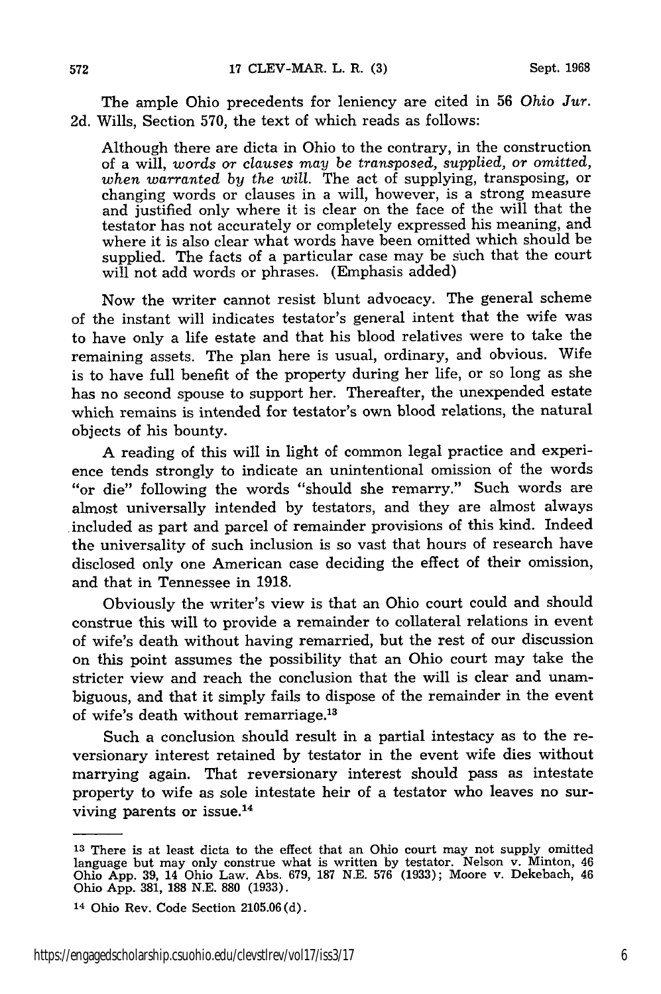The ample Ohio precedents for leniency are cited in 56 *Ohio Jur.* 2d. Wills, Section 570, the text of which reads as follows:

Although there are dicta in Ohio to the contrary, in the construction of a will, *words or clauses may be transposed, supplied, or omitted, when warranted by the will.* The act of supplying, transposing, or changing words or clauses in a will, however, is a strong measure and justified only where it is clear on the face of the will that the testator has not accurately or completely expressed his meaning, and where it is also clear what words have been omitted which should be supplied. The facts of a particular case may be such that the court will not add words or phrases. (Emphasis added)

Now the writer cannot resist blunt advocacy. The general scheme of the instant will indicates testator's general intent that the wife was to have only a life estate and that his blood relatives were to take the remaining assets. The plan here is usual, ordinary, and obvious. Wife is to have full benefit of the property during her life, or so long as she has no second spouse to support her. Thereafter, the unexpended estate which remains is intended for testator's own blood relations, the natural objects of his bounty.

A reading of this will in light of common legal practice and experience tends strongly to indicate an unintentional omission of the words "or die" following the words "should she remarry." Such words are almost universally intended by testators, and they are almost always .included as part and parcel of remainder provisions of this kind. Indeed the universality of such inclusion is so vast that hours of research have disclosed only one American case deciding the effect of their omission, and that in Tennessee in 1918.

Obviously the writer's view is that an Ohio court could and should construe this will to provide a remainder to collateral relations in event of wife's death without having remarried, but the rest of our discussion on this point assumes the possibility that an Ohio court may take the stricter view and reach the conclusion that the will is clear and unambiguous, and that it simply fails to dispose of the remainder in the event of wife's death without remarriage.<sup>13</sup>

Such a conclusion should result in a partial intestacy as to the reversionary interest retained by testator in the event wife dies without marrying again. That reversionary interest should pass as intestate property to wife as sole intestate heir of a testator who leaves no surviving parents or issue.<sup>14</sup>

**<sup>13</sup>**There is at least dicta to the effect that an Ohio court may not supply omitted language but may only construe what is written by testator. Nelson v. Minton, 46 Ohio App. 39, 14 Ohio Law. Abs. 679, 187 N.E. 576 (1933); Moore v. Dekebach, 46 Ohio App. 381, 188 N.E. **880** (1933).

<sup>14</sup> Ohio Rev. Code Section 2105.06(d).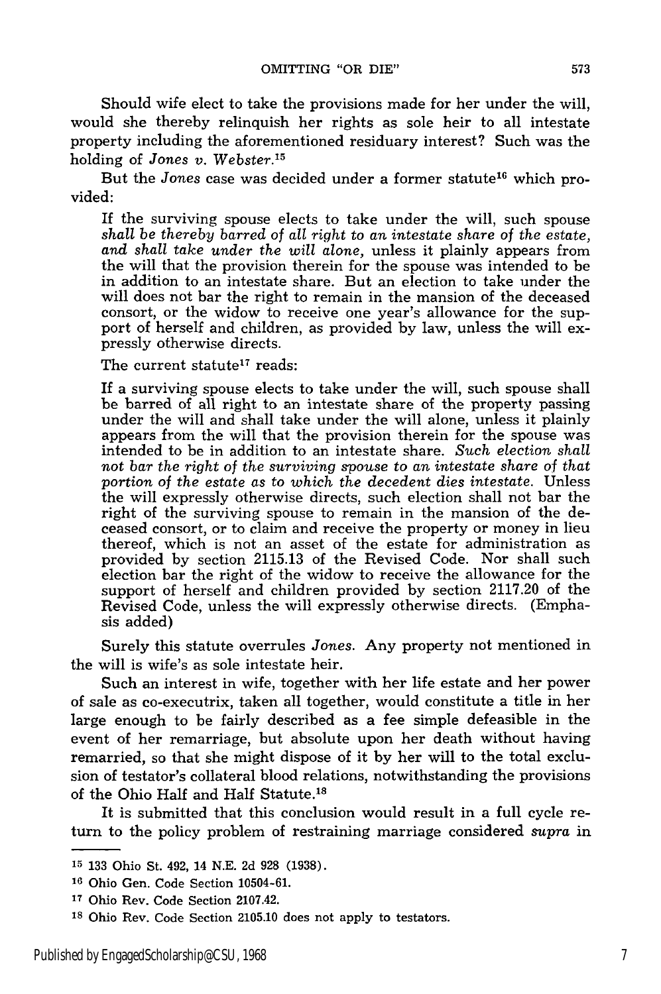Should wife elect to take the provisions made for her under the will, would she thereby relinquish her rights as sole heir to all intestate property including the aforementioned residuary interest? Such was the holding of *Jones v. Webster.<sup>15</sup>*

But the *Jones* case was decided under a former statute<sup>16</sup> which provided:

If the surviving spouse elects to take under the will, such spouse *shall be thereby barred* of *all right* to *an intestate share* of *the estate, and shall take under the will alone,* unless it plainly appears from the will that the provision therein for the spouse was intended to be in addition to an intestate share. But an election to take under the will does not bar the right to remain in the mansion of the deceased consort, or the widow to receive one year's allowance for the support of herself and children, as provided by law, unless the will expressly otherwise directs.

The current statute<sup>17</sup> reads:

If a surviving spouse elects to take under the will, such spouse shall be barred of all right to an intestate share of the property passing under the will and shall take under the will alone, unless it plainly appears from the will that the provision therein for the spouse was intended to be in addition to an intestate share. Such *election shall not bar the right of the surviving spouse to an intestate share of that portion of the estate as to which the decedent dies intestate.* Unless the will expressly otherwise directs, such election shall not bar the right of the surviving spouse to remain in the mansion of the deceased consort, or to claim and receive the property or money in lieu thereof, which is not an asset of the estate for administration as provided by section 2115.13 of the Revised Code. Nor shall such election bar the right of the widow to receive the allowance for the support of herself and children provided by section 2117.20 of the Revised Code, unless the will expressly otherwise directs. (Emphasis added)

Surely this statute overrules *Jones.* Any property not mentioned in the will is wife's as sole intestate heir.

Such an interest in wife, together with her life estate and her power of sale as co-executrix, taken all together, would constitute a title in her large enough to be fairly described as a fee simple defeasible in the event of her remarriage, but absolute upon her death without having remarried, so that she might dispose of it by her will to the total exclusion of testator's collateral blood relations, notwithstanding the provisions of the Ohio Half and Half Statute.18

It is submitted that this conclusion would result in a full cycle return to the policy problem of restraining marriage considered *supra* in

**<sup>15</sup>**133 Ohio St. 492, 14 N.E. 2d 928 (1938).

<sup>&</sup>lt;sup>16</sup> Ohio Gen. Code Section 10504-61.

**<sup>17</sup>**Ohio Rev. Code Section 2107.42.

**<sup>18</sup>**Ohio Rev. Code Section 2105.10 does not apply to testators.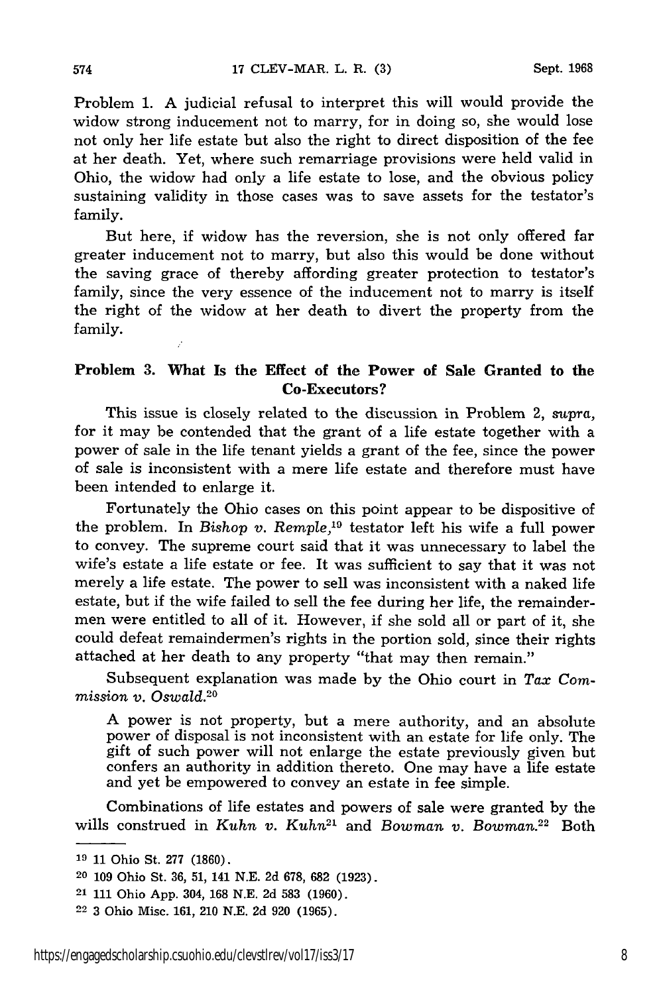Problem 1. A judicial refusal to interpret this will would provide the widow strong inducement not to marry, for in doing so, she would lose not only her life estate but also the right to direct disposition of the fee at her death. Yet, where such remarriage provisions were held valid in Ohio, the widow had only a life estate to lose, and the obvious policy sustaining validity in those cases was to save assets for the testator's family.

But here, if widow has the reversion, she is not only offered far greater inducement not to marry, but also this would be done without the saving grace of thereby affording greater protection to testator's family, since the very essence of the inducement not to marry is itself the right of the widow at her death to divert the property from the family.

## **Problem 3. What Is the Effect of the Power of Sale Granted to the Co-Executors?**

This issue is closely related to the discussion in Problem 2, supra, for it may be contended that the grant of a life estate together with a power of sale in the life tenant yields a grant of the fee, since the power of sale is inconsistent with a mere life estate and therefore must have been intended to enlarge it.

Fortunately the Ohio cases on this point appear to be dispositive of the problem. In *Bishop v. Remple,19* testator left his wife a full power to convey. The supreme court said that it was unnecessary to label the wife's estate a life estate or fee. It was sufficient to say that it was not merely a life estate. The power to sell was inconsistent with a naked life estate, but if the wife failed to sell the fee during her life, the remaindermen were entitled to all of it. However, if she sold all or part of it, she could defeat remaindermen's rights in the portion sold, since their rights attached at her death to any property "that may then remain."

Subsequent explanation was made by the Ohio court in *Tax Commission v. Oswald.20*

A power is not property, but a mere authority, and an absolute power of disposal is not inconsistent with an estate for life only. The gift of such power will not enlarge the estate previously given but confers an authority in addition thereto. One may have a life estate and yet be empowered to convey an estate in fee simple.

Combinations of life estates and powers of sale were granted by the wills construed in *Kuhn v. Kuhn*<sup>21</sup> and *Bowman v. Bowman.*<sup>22</sup> Both

**<sup>19</sup>**11 Ohio St. 277 (1860).

<sup>20</sup>109 Ohio St. 36, 51, 141 N.E. 2d 678, 682 (1923).

<sup>21</sup>**111** Ohio App. 304, 168 N.E. 2d 583 (1960).

<sup>22</sup>3 Ohio Misc. 161, 210 N.E. 2d 920 (1965).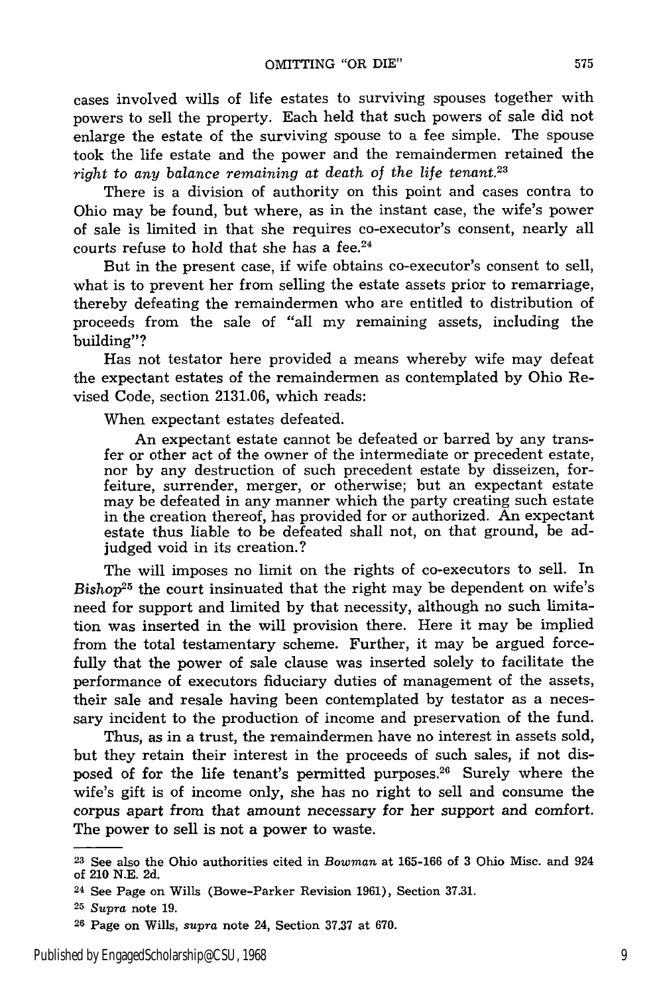cases involved wills of life estates to surviving spouses together with powers to sell the property. Each held that such powers of sale did not enlarge the estate of the surviving spouse to a fee simple. The spouse took the life estate and the power and the remaindermen retained the *right to any balance remaining at death of the life tenant.23*

There is a division of authority on this point and cases contra to Ohio may be found, but where, as in the instant case, the wife's power of sale is limited in that she requires co-executor's consent, nearly all courts refuse to hold that she has a fee. $24$ 

But in the present case, if wife obtains co-executor's consent to sell, what is to prevent her from selling the estate assets prior to remarriage, thereby defeating the remaindermen who are entitled to distribution of proceeds from the sale of "all my remaining assets, including the building"?

Has not testator here provided a means whereby wife may defeat the expectant estates of the remaindermen as contemplated by Ohio Revised Code, section 2131.06, which reads:

When expectant estates defeated.

An expectant estate cannot be defeated or barred by any transfer or other act of the owner of the intermediate or precedent estate, nor by any destruction of such precedent estate by disseizen, forfeiture, surrender, merger, or otherwise; but an expectant estate may be defeated in any manner which the party creating such estate in the creation thereof, has provided for or authorized. An expectant estate thus liable to be defeated shall not, on that ground, be adjudged void in its creation.?

The will imposes no limit on the rights of co-executors to sell. In  $Bishop<sup>25</sup>$  the court insinuated that the right may be dependent on wife's need for support and limited by that necessity, although no such limitation was inserted in the will provision there. Here it may be implied from the total testamentary scheme. Further, it may be argued forcefully that the power of sale clause was inserted solely to facilitate the performance of executors fiduciary duties of management of the assets, their sale and resale having been contemplated by testator as a necessary incident to the production of income and preservation of the fund.

Thus, as in a trust, the remaindermen have no interest in assets sold, but they retain their interest in the proceeds of such sales, if not disposed of for the life tenant's permitted purposes.<sup>26</sup> Surely where the wife's gift is of income only, she has no right to sell and consume the corpus apart from that amount necessary for her support and comfort. The power to sell is not a power to waste.

**<sup>23</sup>**See also the Ohio authorities cited in *Bowman* at 165-166 of 3 Ohio Misc. and 924 of 210 N.E. 2d.

<sup>24</sup> See Page on Wills (Bowe-Parker Revision 1961), Section 37.31.

*<sup>25</sup>Supra* note 19.

<sup>26</sup> Page on Wills, *supra* note 24, Section 37.37 at 670.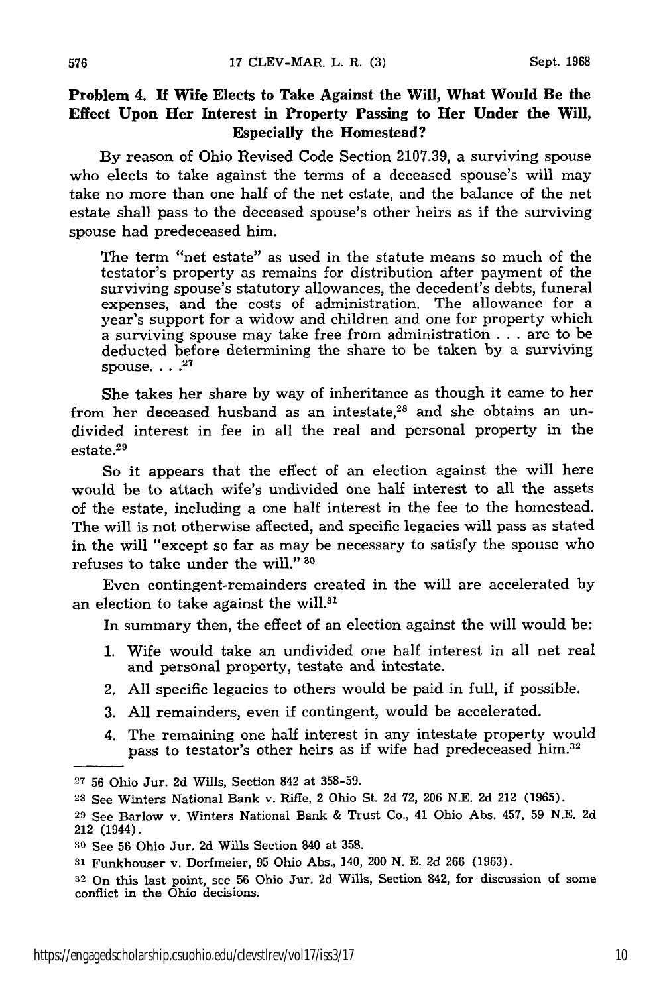## **Problem 4. If Wife Elects to Take Against the Will, What Would Be the Effect Upon Her Interest in Property Passing to Her Under the Will, Especially the Homestead?**

**By reason of** Ohio Revised **Code Section 2107.39,** a surviving spouse who elects to take against the terms of a deceased spouse's will may take no more than one half of the net estate, and the balance of the net estate shall pass to the deceased spouse's other heirs as if the surviving spouse had predeceased him.

The term "net estate" as used in the statute means so much of the testator's property as remains for distribution after payment of the surviving spouse's statutory allowances, the decedent's debts, funeral expenses, and the costs of administration. The allowance for a year's support for a widow and children and one for property which a surviving spouse may take free from administration . . . are to be deducted before determining the share to be taken by a surviving spouse.  $\ldots$ <sup>27</sup>

She takes her share by way of inheritance as though it came to her from her deceased husband as an intestate,<sup>28</sup> and she obtains an undivided interest in fee in all the real and personal property in the estate.29

So it appears that the effect of an election against the will here would be to attach wife's undivided one half interest to all the assets of the estate, including a one half interest in the fee to the homestead. The will is not otherwise affected, and specific legacies will pass as stated in the will "except so far as may be necessary to satisfy the spouse who refuses to take under the will." **30**

Even contingent-remainders created in the will are accelerated by an election to take against the will.<sup>31</sup>

In summary then, the effect of an election against the will would be:

- 1. Wife would take an undivided one half interest in all net real and personal property, testate and intestate.
- 2. All specific legacies to others would be paid in full, if possible.
- 3. All remainders, even if contingent, would be accelerated.
- 4. The remaining one half interest in any intestate property would pass to testator's other heirs as if wife had predeceased him.<sup>32</sup>

**<sup>27</sup>**56 Ohio Jur. 2d Wills, Section 842 at 358-59.

**<sup>28</sup>**See Winters National Bank v. Rifle, 2 Ohio St. 2d **72,** 206 N.E. **2d** 212 (1965).

<sup>29</sup> See Barlow v. Winters National Bank & Trust Co., 41 Ohio Abs. 457, 59 N.E. 2d 212 (1944).

**<sup>30</sup>**See 56 Ohio Jur. 2d Wills Section 840 at **358.**

**<sup>31</sup>**Funkhouser v. Dorfmeier, 95 Ohio Abs., 140, 200 N. E. 2d 266 (1963).

<sup>32</sup> On this last point, see 56 Ohio Jur. 2d Wills, Section 842, for discussion of some conflict in the Ohio decisions.